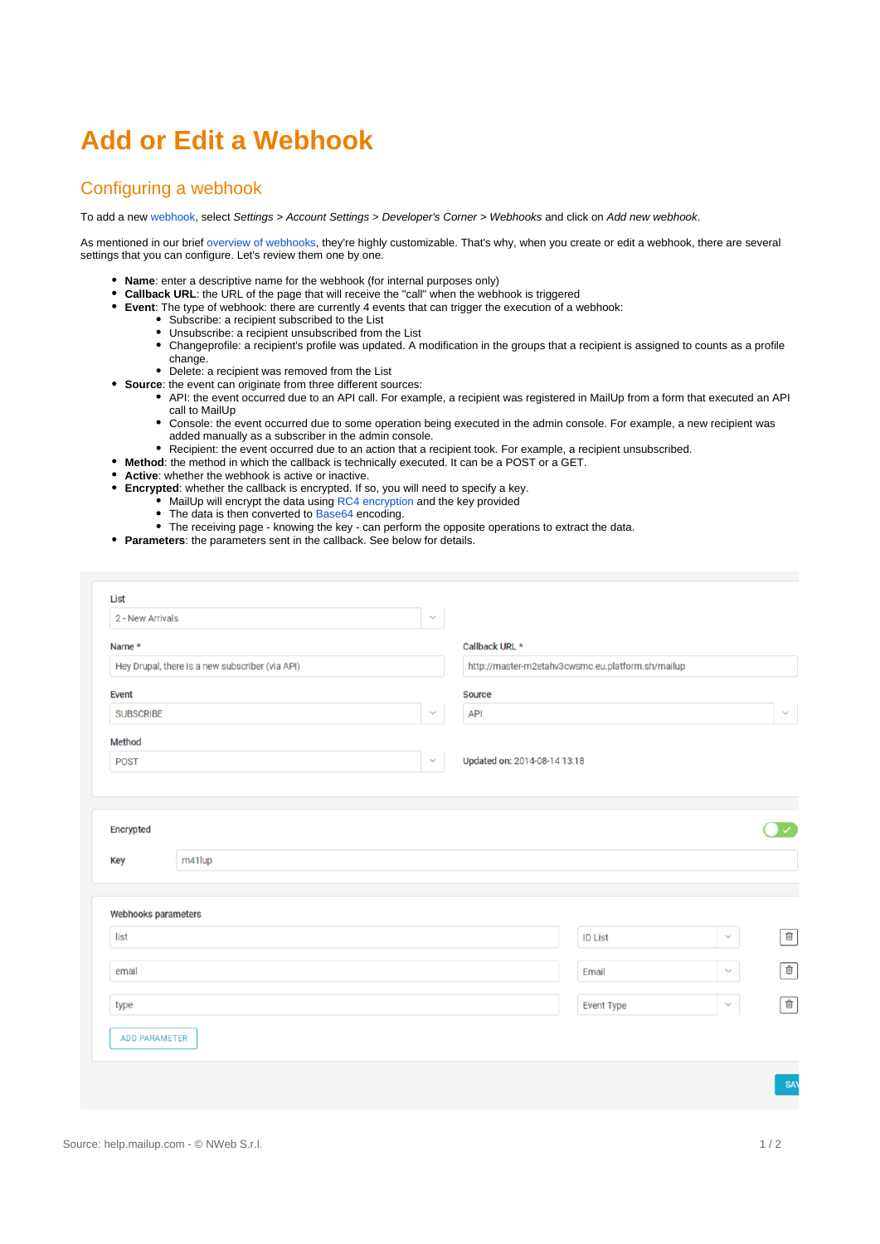# **Add or Edit a Webhook**

#### Configuring a webhook

To add a new [webhook](https://help.mailup.com/display/MUG/Webhooks), select Settings > Account Settings > Developer's Corner > Webhooks and click on Add new webhook.

As mentioned in our brief [overview of webhooks,](https://help.mailup.com/display/MUG/Webhooks) they're highly customizable. That's why, when you create or edit a webhook, there are several settings that you can configure. Let's review them one by one.

- **Name**: enter a descriptive name for the webhook (for internal purposes only)
- **Callback URL**: the URL of the page that will receive the "call" when the webhook is triggered
- **Event**: The type of webhook: there are currently 4 events that can trigger the execution of a webhook:
	- Subscribe: a recipient subscribed to the List
	- Unsubscribe: a recipient unsubscribed from the List
	- Changeprofile: a recipient's profile was updated. A modification in the groups that a recipient is assigned to counts as a profile change.
	- Delete: a recipient was removed from the List
- **Source**: the event can originate from three different sources:
	- API: the event occurred due to an API call. For example, a recipient was registered in MailUp from a form that executed an API call to MailUp
		- Console: the event occurred due to some operation being executed in the admin console. For example, a new recipient was added manually as a subscriber in the admin console.
		- Recipient: the event occurred due to an action that a recipient took. For example, a recipient unsubscribed.
- **Method**: the method in which the callback is technically executed. It can be a POST or a GET.
- **Active**: whether the webhook is active or inactive.
- **Encrypted**: whether the callback is encrypted. If so, you will need to specify a key.
	- MailUp will encrypt the data using [RC4 encryption](http://en.wikipedia.org/wiki/RC4) and the key provided
	- The data is then converted to [Base64](http://en.wikipedia.org/wiki/Base64) encoding.
	- The receiving page knowing the key can perform the opposite operations to extract the data.
- **Parameters**: the parameters sent in the callback. See below for details.

| 2 - New Arrivals                                          | $\checkmark$ |                                                                     |                   |              |                |
|-----------------------------------------------------------|--------------|---------------------------------------------------------------------|-------------------|--------------|----------------|
| Name *<br>Hey Drupal, there is a new subscriber (via API) |              | Callback URL *<br>http://master-m2etahv3cwsmc.eu.platform.sh/mailup |                   |              |                |
|                                                           |              |                                                                     |                   |              |                |
| <b>SUBSCRIBE</b>                                          | $\sim$       | <b>API</b>                                                          |                   |              | $\checkmark$   |
| <b>Method</b>                                             |              |                                                                     |                   |              |                |
| <b>POST</b>                                               | $\checkmark$ | Updated on: 2014-08-14 13:18                                        |                   |              |                |
|                                                           |              |                                                                     |                   |              |                |
| Encrypted<br>m41lup<br><b>Key</b>                         |              |                                                                     |                   |              | $\checkmark$   |
|                                                           |              |                                                                     |                   |              |                |
| Webhooks parameters                                       |              |                                                                     |                   |              |                |
| list                                                      |              |                                                                     | <b>ID List</b>    | $\checkmark$ | 画              |
| email                                                     |              |                                                                     | Email             | $\checkmark$ | 画              |
| type                                                      |              |                                                                     | <b>Event Type</b> | $\checkmark$ | $\blacksquare$ |
| ADD PARAMETER                                             |              |                                                                     |                   |              |                |
|                                                           |              |                                                                     |                   |              |                |